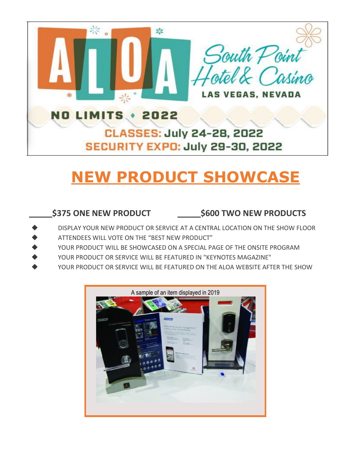

## **NEW PRODUCT SHOWCASE**

## **\$375 ONE NEW PRODUCT \$600 TWO NEW PRODUCTS**

- DISPLAY YOUR NEW PRODUCT OR SERVICE AT A CENTRAL LOCATION ON THE SHOW FLOOR
- ATTENDEES WILL VOTE ON THE "BEST NEW PRODUCT"
- YOUR PRODUCT WILL BE SHOWCASED ON A SPECIAL PAGE OF THE ONSITE PROGRAM
- YOUR PRODUCT OR SERVICE WILL BE FEATURED IN "KEYNOTES MAGAZINE"
- YOUR PRODUCT OR SERVICE WILL BE FEATURED ON THE ALOA WEBSITE AFTER THE SHOW